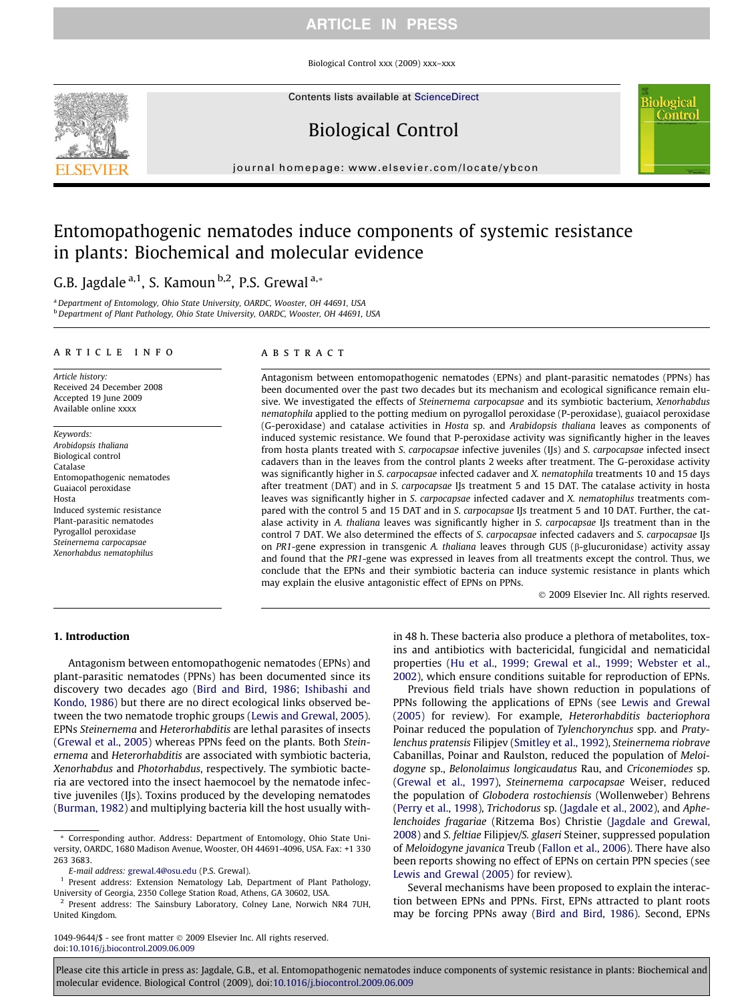Biological Control xxx (2009) xxx–xxx

Contents lists available at [ScienceDirect](http://www.sciencedirect.com/science/journal/10499644)

# Biological Control

journal homepage: [www.elsevier.com/locate/ybcon](http://www.elsevier.com/locate/ybcon)

# Entomopathogenic nematodes induce components of systemic resistance in plants: Biochemical and molecular evidence

G.B. Jagdale<sup>a,1</sup>, S. Kamoun<sup>b,2</sup>, P.S. Grewal<sup>a,\*</sup>

<sup>a</sup> Department of Entomology, Ohio State University, OARDC, Wooster, OH 44691, USA b Department of Plant Pathology, Ohio State University, OARDC, Wooster, OH 44691, USA

#### article info

Article history: Received 24 December 2008 Accepted 19 June 2009 Available online xxxx

Keywords: Arobidopsis thaliana Biological control Catalase Entomopathogenic nematodes Guaiacol peroxidase Hosta Induced systemic resistance Plant-parasitic nematodes Pyrogallol peroxidase Steinernema carpocapsae Xenorhabdus nematophilus

#### **ABSTRACT**

Antagonism between entomopathogenic nematodes (EPNs) and plant-parasitic nematodes (PPNs) has been documented over the past two decades but its mechanism and ecological significance remain elusive. We investigated the effects of Steinernema carpocapsae and its symbiotic bacterium, Xenorhabdus nematophila applied to the potting medium on pyrogallol peroxidase (P-peroxidase), guaiacol peroxidase (G-peroxidase) and catalase activities in Hosta sp. and Arabidopsis thaliana leaves as components of induced systemic resistance. We found that P-peroxidase activity was significantly higher in the leaves from hosta plants treated with S. carpocapsae infective juveniles (IJs) and S. carpocapsae infected insect cadavers than in the leaves from the control plants 2 weeks after treatment. The G-peroxidase activity was significantly higher in S. carpocapsae infected cadaver and X. nematophila treatments 10 and 15 days after treatment (DAT) and in S. carpocapsae IJs treatment 5 and 15 DAT. The catalase activity in hosta leaves was significantly higher in S. carpocapsae infected cadaver and X. nematophilus treatments compared with the control 5 and 15 DAT and in S. carpocapsae IJs treatment 5 and 10 DAT. Further, the catalase activity in A. thaliana leaves was significantly higher in S. carpocapsae IJs treatment than in the control 7 DAT. We also determined the effects of S. carpocapsae infected cadavers and S. carpocapsae IJs on PR1-gene expression in transgenic A. thaliana leaves through GUS ( $\beta$ -glucuronidase) activity assay and found that the PR1-gene was expressed in leaves from all treatments except the control. Thus, we conclude that the EPNs and their symbiotic bacteria can induce systemic resistance in plants which may explain the elusive antagonistic effect of EPNs on PPNs.

- 2009 Elsevier Inc. All rights reserved.

iological Contro

#### 1. Introduction

Antagonism between entomopathogenic nematodes (EPNs) and plant-parasitic nematodes (PPNs) has been documented since its discovery two decades ago [\(Bird and Bird, 1986; Ishibashi and](#page-6-0) [Kondo, 1986](#page-6-0)) but there are no direct ecological links observed between the two nematode trophic groups [\(Lewis and Grewal, 2005\)](#page-6-0). EPNs Steinernema and Heterorhabditis are lethal parasites of insects ([Grewal et al., 2005](#page-6-0)) whereas PPNs feed on the plants. Both Steinernema and Heterorhabditis are associated with symbiotic bacteria, Xenorhabdus and Photorhabdus, respectively. The symbiotic bacteria are vectored into the insect haemocoel by the nematode infective juveniles (IJs). Toxins produced by the developing nematodes ([Burman, 1982](#page-6-0)) and multiplying bacteria kill the host usually with-

1049-9644/\$ - see front matter © 2009 Elsevier Inc. All rights reserved. doi[:10.1016/j.biocontrol.2009.06.009](http://dx.doi.org/10.1016/j.biocontrol.2009.06.009)

in 48 h. These bacteria also produce a plethora of metabolites, toxins and antibiotics with bactericidal, fungicidal and nematicidal properties ([Hu et al., 1999; Grewal et al., 1999; Webster et al.,](#page-6-0) [2002](#page-6-0)), which ensure conditions suitable for reproduction of EPNs.

Previous field trials have shown reduction in populations of PPNs following the applications of EPNs (see [Lewis and Grewal](#page-6-0) [\(2005\)](#page-6-0) for review). For example, Heterorhabditis bacteriophora Poinar reduced the population of Tylenchorynchus spp. and Pratylenchus pratensis Filipjev ([Smitley et al., 1992\)](#page-7-0), Steinernema riobrave Cabanillas, Poinar and Raulston, reduced the population of Meloidogyne sp., Belonolaimus longicaudatus Rau, and Criconemiodes sp. ([Grewal et al., 1997\)](#page-6-0), Steinernema carpocapsae Weiser, reduced the population of Globodera rostochiensis (Wollenweber) Behrens ([Perry et al., 1998\)](#page-7-0), Trichodorus sp. ([Jagdale et al., 2002\)](#page-6-0), and Aphelenchoides fragariae (Ritzema Bos) Christie [\(Jagdale and Grewal,](#page-6-0) [2008](#page-6-0)) and S. feltiae Filipjev/S. glaseri Steiner, suppressed population of Meloidogyne javanica Treub [\(Fallon et al., 2006](#page-6-0)). There have also been reports showing no effect of EPNs on certain PPN species (see [Lewis and Grewal \(2005\)](#page-6-0) for review).

Several mechanisms have been proposed to explain the interaction between EPNs and PPNs. First, EPNs attracted to plant roots may be forcing PPNs away ([Bird and Bird, 1986](#page-6-0)). Second, EPNs

<sup>\*</sup> Corresponding author. Address: Department of Entomology, Ohio State University, OARDC, 1680 Madison Avenue, Wooster, OH 44691-4096, USA. Fax: +1 330 263 3683.

E-mail address: [grewal.4@osu.edu](mailto:grewal.4@osu.edu) (P.S. Grewal).

Present address: Extension Nematology Lab, Department of Plant Pathology, University of Georgia, 2350 College Station Road, Athens, GA 30602, USA.

Present address: The Sainsbury Laboratory, Colney Lane, Norwich NR4 7UH, United Kingdom.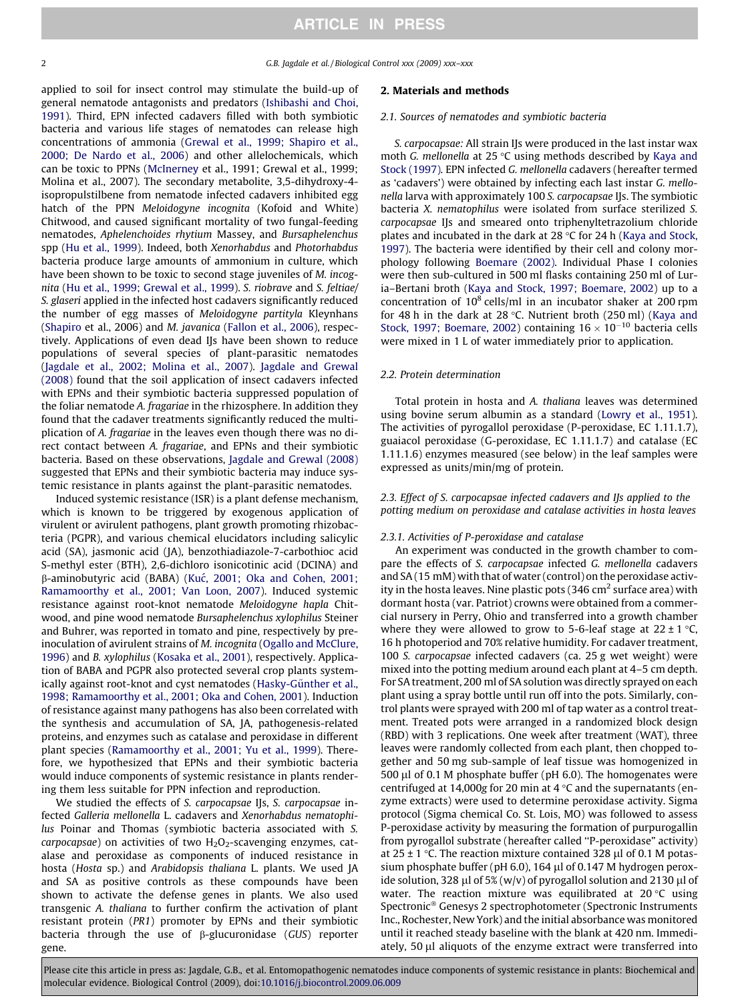2 G.B. Jagdale et al. / Biological Control xxx (2009) xxx–xxx

applied to soil for insect control may stimulate the build-up of general nematode antagonists and predators ([Ishibashi and Choi,](#page-6-0) [1991\)](#page-6-0). Third, EPN infected cadavers filled with both symbiotic bacteria and various life stages of nematodes can release high concentrations of ammonia ([Grewal et al., 1999; Shapiro et al.,](#page-6-0) [2000; De Nardo et al., 2006](#page-6-0)) and other allelochemicals, which can be toxic to PPNs [\(McInerney](#page-6-0) et al., 1991; Grewal et al., 1999; Molina et al., 2007). The secondary metabolite, 3,5-dihydroxy-4 isopropulstilbene from nematode infected cadavers inhibited egg hatch of the PPN Meloidogyne incognita (Kofoid and White) Chitwood, and caused significant mortality of two fungal-feeding nematodes, Aphelenchoides rhytium Massey, and Bursaphelenchus spp [\(Hu et al., 1999\)](#page-6-0). Indeed, both Xenorhabdus and Photorhabdus bacteria produce large amounts of ammonium in culture, which have been shown to be toxic to second stage juveniles of M. incognita ([Hu et al., 1999; Grewal et al., 1999\)](#page-6-0). S. riobrave and S. feltiae/ S. glaseri applied in the infected host cadavers significantly reduced the number of egg masses of Meloidogyne partityla Kleynhans ([Shapiro](#page-7-0) et al., 2006) and M. javanica [\(Fallon et al., 2006\)](#page-6-0), respectively. Applications of even dead IJs have been shown to reduce populations of several species of plant-parasitic nematodes ([Jagdale et al., 2002; Molina et al., 2007](#page-6-0)). [Jagdale and Grewal](#page-6-0) [\(2008\)](#page-6-0) found that the soil application of insect cadavers infected with EPNs and their symbiotic bacteria suppressed population of the foliar nematode A. fragariae in the rhizosphere. In addition they found that the cadaver treatments significantly reduced the multiplication of A. fragariae in the leaves even though there was no direct contact between A. fragariae, and EPNs and their symbiotic bacteria. Based on these observations, [Jagdale and Grewal \(2008\)](#page-6-0) suggested that EPNs and their symbiotic bacteria may induce systemic resistance in plants against the plant-parasitic nematodes.

Induced systemic resistance (ISR) is a plant defense mechanism, which is known to be triggered by exogenous application of virulent or avirulent pathogens, plant growth promoting rhizobacteria (PGPR), and various chemical elucidators including salicylic acid (SA), jasmonic acid (JA), benzothiadiazole-7-carbothioc acid S-methyl ester (BTH), 2,6-dichloro isonicotinic acid (DCINA) and  $\beta$ -aminobutyric acid (BABA) (Κuć, 2001; Oka and Cohen, 2001; [Ramamoorthy et al., 2001; Van Loon, 2007](#page-6-0)). Induced systemic resistance against root-knot nematode Meloidogyne hapla Chitwood, and pine wood nematode Bursaphelenchus xylophilus Steiner and Buhrer, was reported in tomato and pine, respectively by preinoculation of avirulent strains of M. incognita [\(Ogallo and McClure,](#page-6-0) [1996\)](#page-6-0) and B. xylophilus (Kosaka [et al., 2001](#page-6-0)), respectively. Application of BABA and PGPR also protected several crop plants systemically against root-knot and cyst nematodes (Hasky-Günther et al., [1998; Ramamoorthy et al., 2001; Oka and Cohen, 2001](#page-6-0)). Induction of resistance against many pathogens has also been correlated with the synthesis and accumulation of SA, JA, pathogenesis-related proteins, and enzymes such as catalase and peroxidase in different plant species ([Ramamoorthy et al., 2001; Yu et al., 1999\)](#page-7-0). Therefore, we hypothesized that EPNs and their symbiotic bacteria would induce components of systemic resistance in plants rendering them less suitable for PPN infection and reproduction.

We studied the effects of S. carpocapsae IJs, S. carpocapsae infected Galleria mellonella L. cadavers and Xenorhabdus nematophilus Poinar and Thomas (symbiotic bacteria associated with S. carpocapsae) on activities of two  $H_2O_2$ -scavenging enzymes, catalase and peroxidase as components of induced resistance in hosta (Hosta sp.) and Arabidopsis thaliana L. plants. We used JA and SA as positive controls as these compounds have been shown to activate the defense genes in plants. We also used transgenic A. thaliana to further confirm the activation of plant resistant protein (PR1) promoter by EPNs and their symbiotic bacteria through the use of  $\beta$ -glucuronidase (GUS) reporter gene.

## 2. Materials and methods

#### 2.1. Sources of nematodes and symbiotic bacteria

S. carpocapsae: All strain IJs were produced in the last instar wax moth G. mellonella at  $25^{\circ}$ C using methods described by [Kaya and](#page-6-0) [Stock \(1997\)](#page-6-0). EPN infected G. mellonella cadavers (hereafter termed as 'cadavers') were obtained by infecting each last instar G. mellonella larva with approximately 100 S. carpocapsae IJs. The symbiotic bacteria X. nematophilus were isolated from surface sterilized S. carpocapsae IJs and smeared onto triphenyltetrazolium chloride plates and incubated in the dark at 28  $\degree$ C for 24 h [\(Kaya and Stock,](#page-6-0) [1997\)](#page-6-0). The bacteria were identified by their cell and colony morphology following [Boemare \(2002\)](#page-6-0). Individual Phase I colonies were then sub-cultured in 500 ml flasks containing 250 ml of Luria–Bertani broth ([Kaya and Stock, 1997; Boemare, 2002\)](#page-6-0) up to a concentration of  $10^8$  cells/ml in an incubator shaker at 200 rpm for 48 h in the dark at 28 °C. Nutrient broth (250 ml) ([Kaya and](#page-6-0) [Stock, 1997; Boemare, 2002](#page-6-0)) containing  $16 \times 10^{-10}$  bacteria cells were mixed in 1 L of water immediately prior to application.

## 2.2. Protein determination

Total protein in hosta and A. thaliana leaves was determined using bovine serum albumin as a standard ([Lowry et al., 1951\)](#page-6-0). The activities of pyrogallol peroxidase (P-peroxidase, EC 1.11.1.7), guaiacol peroxidase (G-peroxidase, EC 1.11.1.7) and catalase (EC 1.11.1.6) enzymes measured (see below) in the leaf samples were expressed as units/min/mg of protein.

2.3. Effect of S. carpocapsae infected cadavers and IJs applied to the potting medium on peroxidase and catalase activities in hosta leaves

#### 2.3.1. Activities of P-peroxidase and catalase

An experiment was conducted in the growth chamber to compare the effects of S. carpocapsae infected G. mellonella cadavers and SA (15 mM) with that of water (control) on the peroxidase activity in the hosta leaves. Nine plastic pots  $(346 \text{ cm}^2 \text{ surface area})$  with dormant hosta (var. Patriot) crowns were obtained from a commercial nursery in Perry, Ohio and transferred into a growth chamber where they were allowed to grow to 5-6-leaf stage at  $22 \pm 1$  °C, 16 h photoperiod and 70% relative humidity. For cadaver treatment, 100 S. carpocapsae infected cadavers (ca. 25 g wet weight) were mixed into the potting medium around each plant at 4–5 cm depth. For SA treatment, 200 ml of SA solution was directly sprayed on each plant using a spray bottle until run off into the pots. Similarly, control plants were sprayed with 200 ml of tap water as a control treatment. Treated pots were arranged in a randomized block design (RBD) with 3 replications. One week after treatment (WAT), three leaves were randomly collected from each plant, then chopped together and 50 mg sub-sample of leaf tissue was homogenized in 500  $\mu$ l of 0.1 M phosphate buffer (pH 6.0). The homogenates were centrifuged at 14,000g for 20 min at 4  $\degree$ C and the supernatants (enzyme extracts) were used to determine peroxidase activity. Sigma protocol (Sigma chemical Co. St. Lois, MO) was followed to assess P-peroxidase activity by measuring the formation of purpurogallin from pyrogallol substrate (hereafter called ''P-peroxidase" activity) at 25  $\pm$  1 °C. The reaction mixture contained 328  $\mu$ l of 0.1 M potassium phosphate buffer (pH 6.0), 164  $\mu$ l of 0.147 M hydrogen peroxide solution, 328  $\mu$ l of 5% (w/v) of pyrogallol solution and 2130  $\mu$ l of water. The reaction mixture was equilibrated at  $20^{\circ}$ C using Spectronic<sup>®</sup> Genesys 2 spectrophotometer (Spectronic Instruments Inc., Rochester, New York) and the initial absorbance was monitored until it reached steady baseline with the blank at 420 nm. Immediately, 50 µl aliquots of the enzyme extract were transferred into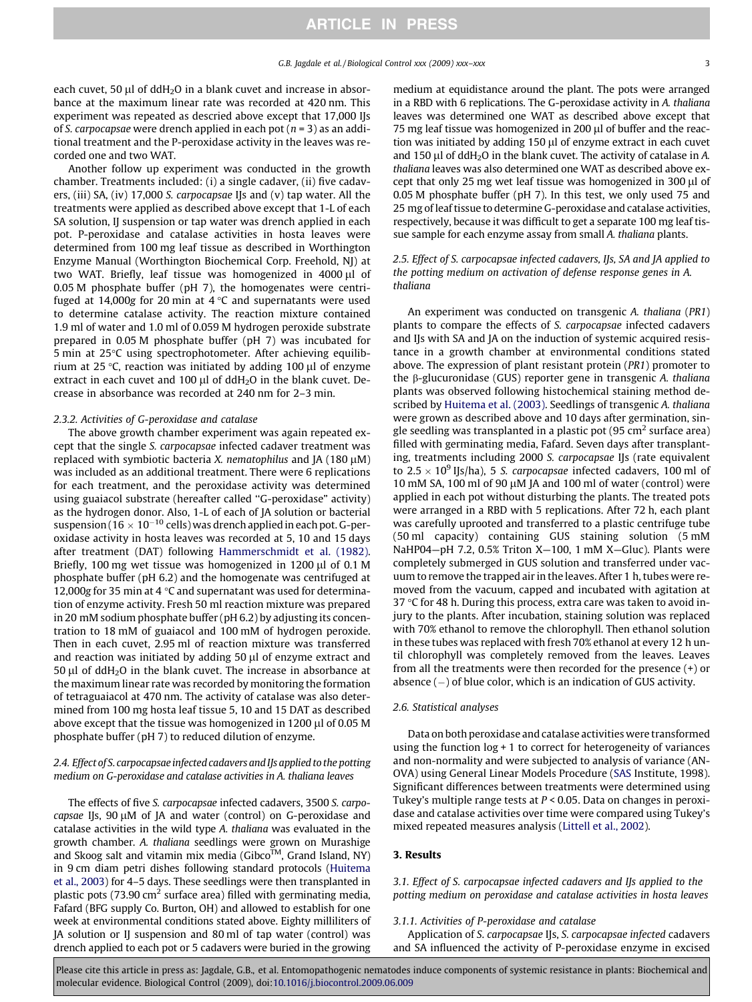each cuvet, 50  $\mu$ l of ddH<sub>2</sub>O in a blank cuvet and increase in absorbance at the maximum linear rate was recorded at 420 nm. This experiment was repeated as descried above except that 17,000 IJs of S. carpocapsae were drench applied in each pot ( $n = 3$ ) as an additional treatment and the P-peroxidase activity in the leaves was recorded one and two WAT.

Another follow up experiment was conducted in the growth chamber. Treatments included: (i) a single cadaver, (ii) five cadavers, (iii) SA, (iv) 17,000 S. carpocapsae IJs and (v) tap water. All the treatments were applied as described above except that 1-L of each SA solution, IJ suspension or tap water was drench applied in each pot. P-peroxidase and catalase activities in hosta leaves were determined from 100 mg leaf tissue as described in Worthington Enzyme Manual (Worthington Biochemical Corp. Freehold, NJ) at two WAT. Briefly, leaf tissue was homogenized in 4000 µl of 0.05 M phosphate buffer (pH 7), the homogenates were centrifuged at 14,000g for 20 min at  $4^{\circ}$ C and supernatants were used to determine catalase activity. The reaction mixture contained 1.9 ml of water and 1.0 ml of 0.059 M hydrogen peroxide substrate prepared in 0.05 M phosphate buffer (pH 7) was incubated for 5 min at 25 °C using spectrophotometer. After achieving equilibrium at 25 °C, reaction was initiated by adding 100  $\mu$ l of enzyme extract in each cuvet and 100  $\mu$ l of ddH<sub>2</sub>O in the blank cuvet. Decrease in absorbance was recorded at 240 nm for 2–3 min.

#### 2.3.2. Activities of G-peroxidase and catalase

The above growth chamber experiment was again repeated except that the single S. carpocapsae infected cadaver treatment was replaced with symbiotic bacteria X. nematophilus and JA (180  $\mu$ M) was included as an additional treatment. There were 6 replications for each treatment, and the peroxidase activity was determined using guaiacol substrate (hereafter called ''G-peroxidase" activity) as the hydrogen donor. Also, 1-L of each of JA solution or bacterial suspension (16  $\times$  10 $^{-10}$  cells) was drench applied in each pot. G-peroxidase activity in hosta leaves was recorded at 5, 10 and 15 days after treatment (DAT) following [Hammerschmidt et al. \(1982\).](#page-6-0) Briefly, 100 mg wet tissue was homogenized in 1200  $\mu$ l of 0.1 M phosphate buffer (pH 6.2) and the homogenate was centrifuged at 12,000g for 35 min at 4  $\degree$ C and supernatant was used for determination of enzyme activity. Fresh 50 ml reaction mixture was prepared in 20 mM sodium phosphate buffer (pH 6.2) by adjusting its concentration to 18 mM of guaiacol and 100 mM of hydrogen peroxide. Then in each cuvet, 2.95 ml of reaction mixture was transferred and reaction was initiated by adding  $50 \mu l$  of enzyme extract and 50  $\mu$ l of ddH<sub>2</sub>O in the blank cuvet. The increase in absorbance at the maximum linear rate was recorded by monitoring the formation of tetraguaiacol at 470 nm. The activity of catalase was also determined from 100 mg hosta leaf tissue 5, 10 and 15 DAT as described above except that the tissue was homogenized in 1200  $\mu$ l of 0.05 M phosphate buffer (pH 7) to reduced dilution of enzyme.

## 2.4. Effect of S. carpocapsae infected cadavers and IJs applied to the potting medium on G-peroxidase and catalase activities in A. thaliana leaves

The effects of five S. carpocapsae infected cadavers, 3500 S. carpocapsae IJs, 90 µM of JA and water (control) on G-peroxidase and catalase activities in the wild type A. thaliana was evaluated in the growth chamber. A. thaliana seedlings were grown on Murashige and Skoog salt and vitamin mix media (Gibco™, Grand Island, NY) in 9 cm diam petri dishes following standard protocols [\(Huitema](#page-6-0) [et al., 2003\)](#page-6-0) for 4–5 days. These seedlings were then transplanted in plastic pots (73.90  $\text{cm}^2$  surface area) filled with germinating media, Fafard (BFG supply Co. Burton, OH) and allowed to establish for one week at environmental conditions stated above. Eighty milliliters of JA solution or IJ suspension and 80 ml of tap water (control) was drench applied to each pot or 5 cadavers were buried in the growing medium at equidistance around the plant. The pots were arranged in a RBD with 6 replications. The G-peroxidase activity in A. thaliana leaves was determined one WAT as described above except that 75 mg leaf tissue was homogenized in 200  $\mu$ l of buffer and the reaction was initiated by adding  $150 \mu$ l of enzyme extract in each cuvet and 150  $\mu$ l of ddH<sub>2</sub>O in the blank cuvet. The activity of catalase in A. thaliana leaves was also determined one WAT as described above except that only 25 mg wet leaf tissue was homogenized in 300  $\mu$ l of 0.05 M phosphate buffer (pH 7). In this test, we only used 75 and 25 mg of leaf tissue to determine G-peroxidase and catalase activities, respectively, because it was difficult to get a separate 100 mg leaf tissue sample for each enzyme assay from small A. thaliana plants.

## 2.5. Effect of S. carpocapsae infected cadavers, IJs, SA and JA applied to the potting medium on activation of defense response genes in A. thaliana

An experiment was conducted on transgenic A. thaliana (PR1) plants to compare the effects of S. carpocapsae infected cadavers and IJs with SA and JA on the induction of systemic acquired resistance in a growth chamber at environmental conditions stated above. The expression of plant resistant protein (PR1) promoter to the  $\beta$ -glucuronidase (GUS) reporter gene in transgenic A. thaliana plants was observed following histochemical staining method described by [Huitema et al. \(2003\).](#page-6-0) Seedlings of transgenic A. thaliana were grown as described above and 10 days after germination, single seedling was transplanted in a plastic pot  $(95 \text{ cm}^2 \text{ surface area})$ filled with germinating media, Fafard. Seven days after transplanting, treatments including 2000 S. carpocapsae IJs (rate equivalent to  $2.5 \times 10^9$  IJs/ha), 5 S. carpocapsae infected cadavers, 100 ml of 10 mM SA, 100 ml of 90  $\mu$ M JA and 100 ml of water (control) were applied in each pot without disturbing the plants. The treated pots were arranged in a RBD with 5 replications. After 72 h, each plant was carefully uprooted and transferred to a plastic centrifuge tube (50 ml capacity) containing GUS staining solution (5 mM NaHP04—pH 7.2, 0.5% Triton X—100, 1 mM X—Gluc). Plants were completely submerged in GUS solution and transferred under vacuum to remove the trapped air in the leaves. After 1 h, tubes were removed from the vacuum, capped and incubated with agitation at 37  $\degree$ C for 48 h. During this process, extra care was taken to avoid injury to the plants. After incubation, staining solution was replaced with 70% ethanol to remove the chlorophyll. Then ethanol solution in these tubes was replaced with fresh 70% ethanol at every 12 h until chlorophyll was completely removed from the leaves. Leaves from all the treatments were then recorded for the presence (+) or absence  $(-)$  of blue color, which is an indication of GUS activity.

#### 2.6. Statistical analyses

Data on both peroxidase and catalase activities were transformed using the function log + 1 to correct for heterogeneity of variances and non-normality and were subjected to analysis of variance (AN-OVA) using General Linear Models Procedure [\(SAS](#page-7-0) Institute, 1998). Significant differences between treatments were determined using Tukey's multiple range tests at  $P < 0.05$ . Data on changes in peroxidase and catalase activities over time were compared using Tukey's mixed repeated measures analysis ([Littell et al., 2002\)](#page-6-0).

#### 3. Results

3.1. Effect of S. carpocapsae infected cadavers and IJs applied to the potting medium on peroxidase and catalase activities in hosta leaves

## 3.1.1. Activities of P-peroxidase and catalase

Application of S. carpocapsae IJs, S. carpocapsae infected cadavers and SA influenced the activity of P-peroxidase enzyme in excised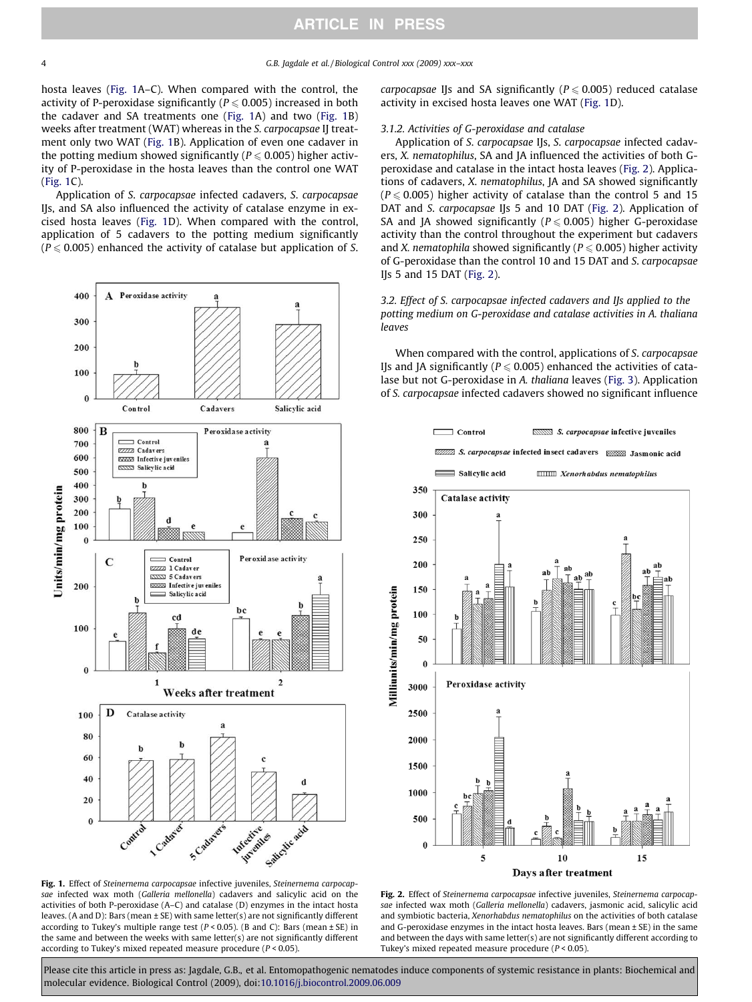hosta leaves (Fig. 1A–C). When compared with the control, the activity of P-peroxidase significantly ( $P \le 0.005$ ) increased in both the cadaver and SA treatments one (Fig. 1A) and two (Fig. 1B) weeks after treatment (WAT) whereas in the S. carpocapsae IJ treatment only two WAT (Fig. 1B). Application of even one cadaver in the potting medium showed significantly ( $P \le 0.005$ ) higher activity of P-peroxidase in the hosta leaves than the control one WAT (Fig. 1C).

Application of S. carpocapsae infected cadavers, S. carpocapsae IJs, and SA also influenced the activity of catalase enzyme in excised hosta leaves (Fig. 1D). When compared with the control, application of 5 cadavers to the potting medium significantly  $(P \le 0.005)$  enhanced the activity of catalase but application of S.



Fig. 1. Effect of Steinernema carpocapsae infective juveniles, Steinernema carpocapsae infected wax moth (Galleria mellonella) cadavers and salicylic acid on the activities of both P-peroxidase (A–C) and catalase (D) enzymes in the intact hosta leaves. (A and D): Bars (mean ± SE) with same letter(s) are not significantly different according to Tukey's multiple range test ( $P < 0.05$ ). (B and C): Bars (mean  $\pm$  SE) in the same and between the weeks with same letter(s) are not significantly different according to Tukey's mixed repeated measure procedure  $(P < 0.05)$ .

carpocapsae IIs and SA significantly ( $P \le 0.005$ ) reduced catalase activity in excised hosta leaves one WAT (Fig. 1D).

#### 3.1.2. Activities of G-peroxidase and catalase

Application of S. carpocapsae IJs, S. carpocapsae infected cadavers, X. nematophilus, SA and JA influenced the activities of both Gperoxidase and catalase in the intact hosta leaves (Fig. 2). Applications of cadavers, X. nematophilus, JA and SA showed significantly  $(P \le 0.005)$  higher activity of catalase than the control 5 and 15 DAT and S. carpocapsae IJs 5 and 10 DAT (Fig. 2). Application of SA and JA showed significantly ( $P \le 0.005$ ) higher G-peroxidase activity than the control throughout the experiment but cadavers and X. nematophila showed significantly ( $P \le 0.005$ ) higher activity of G-peroxidase than the control 10 and 15 DAT and S. carpocapsae IJs 5 and 15 DAT (Fig. 2).

3.2. Effect of S. carpocapsae infected cadavers and IJs applied to the potting medium on G-peroxidase and catalase activities in A. thaliana leaves

When compared with the control, applications of S. carpocapsae IJs and JA significantly ( $P \le 0.005$ ) enhanced the activities of catalase but not G-peroxidase in A. thaliana leaves ([Fig. 3](#page-4-0)). Application of S. carpocapsae infected cadavers showed no significant influence



Fig. 2. Effect of Steinernema carpocapsae infective juveniles, Steinernema carpocapsae infected wax moth (Galleria mellonella) cadavers, jasmonic acid, salicylic acid and symbiotic bacteria, Xenorhabdus nematophilus on the activities of both catalase and G-peroxidase enzymes in the intact hosta leaves. Bars (mean  $\pm$  SE) in the same and between the days with same letter(s) are not significantly different according to Tukey's mixed repeated measure procedure ( $P < 0.05$ ).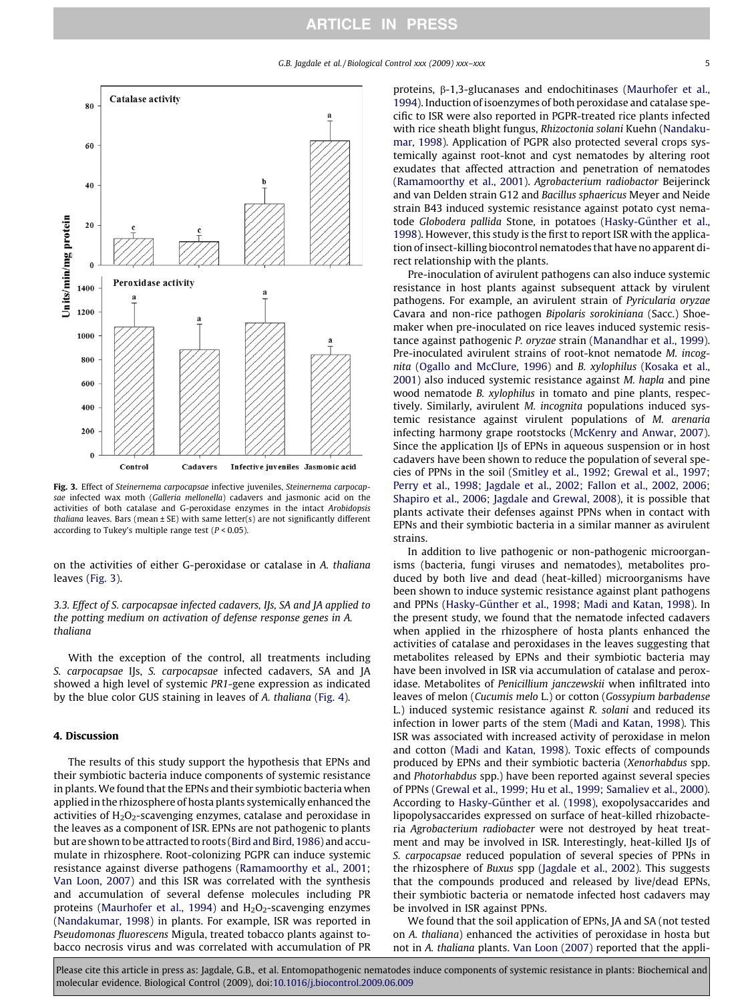<span id="page-4-0"></span>

Fig. 3. Effect of Steinernema carpocapsae infective juveniles, Steinernema carpocapsae infected wax moth (Galleria mellonella) cadavers and jasmonic acid on the activities of both catalase and G-peroxidase enzymes in the intact Arobidopsis thaliana leaves. Bars (mean  $\pm$  SE) with same letter(s) are not significantly different according to Tukey's multiple range test ( $P < 0.05$ ).

on the activities of either G-peroxidase or catalase in A. thaliana leaves (Fig. 3).

3.3. Effect of S. carpocapsae infected cadavers, IJs, SA and JA applied to the potting medium on activation of defense response genes in A. thaliana

With the exception of the control, all treatments including S. carpocapsae IJs, S. carpocapsae infected cadavers, SA and JA showed a high level of systemic PR1-gene expression as indicated by the blue color GUS staining in leaves of A. thaliana [\(Fig. 4\)](#page-5-0).

#### 4. Discussion

The results of this study support the hypothesis that EPNs and their symbiotic bacteria induce components of systemic resistance in plants. We found that the EPNs and their symbiotic bacteria when applied in the rhizosphere of hosta plants systemically enhanced the activities of  $H_2O_2$ -scavenging enzymes, catalase and peroxidase in the leaves as a component of ISR. EPNs are not pathogenic to plants but are shown to be attracted to roots [\(Bird and Bird, 1986\)](#page-6-0) and accumulate in rhizosphere. Root-colonizing PGPR can induce systemic resistance against diverse pathogens [\(Ramamoorthy et al., 2001;](#page-7-0) [Van Loon, 2007](#page-7-0)) and this ISR was correlated with the synthesis and accumulation of several defense molecules including PR proteins [\(Maurhofer et al., 1994](#page-6-0)) and  $H<sub>2</sub>O<sub>2</sub>$ -scavenging enzymes ([Nandakumar, 1998\)](#page-6-0) in plants. For example, ISR was reported in Pseudomonas fluorescens Migula, treated tobacco plants against tobacco necrosis virus and was correlated with accumulation of PR proteins, b-1,3-glucanases and endochitinases ([Maurhofer et al.,](#page-6-0) [1994\)](#page-6-0). Induction of isoenzymes of both peroxidase and catalase specific to ISR were also reported in PGPR-treated rice plants infected with rice sheath blight fungus, Rhizoctonia solani Kuehn [\(Nandaku](#page-6-0)[mar, 1998](#page-6-0)). Application of PGPR also protected several crops systemically against root-knot and cyst nematodes by altering root exudates that affected attraction and penetration of nematodes ([Ramamoorthy et al., 2001](#page-7-0)). Agrobacterium radiobactor Beijerinck and van Delden strain G12 and Bacillus sphaericus Meyer and Neide strain B43 induced systemic resistance against potato cyst nematode Globodera pallida Stone, in potatoes (Hasky-Günther et al., [1998\)](#page-6-0). However, this study is the first to report ISR with the application of insect-killing biocontrol nematodes that have no apparent direct relationship with the plants.

Pre-inoculation of avirulent pathogens can also induce systemic resistance in host plants against subsequent attack by virulent pathogens. For example, an avirulent strain of Pyricularia oryzae Cavara and non-rice pathogen Bipolaris sorokiniana (Sacc.) Shoemaker when pre-inoculated on rice leaves induced systemic resistance against pathogenic P. oryzae strain [\(Manandhar et al., 1999\)](#page-6-0). Pre-inoculated avirulent strains of root-knot nematode M. incognita [\(Ogallo and McClure, 1996\)](#page-6-0) and B. xylophilus [\(Kosaka et al.,](#page-6-0) [2001](#page-6-0)) also induced systemic resistance against M. hapla and pine wood nematode B. xylophilus in tomato and pine plants, respectively. Similarly, avirulent M. incognita populations induced systemic resistance against virulent populations of M. arenaria infecting harmony grape rootstocks ([McKenry and Anwar, 2007\)](#page-6-0). Since the application IJs of EPNs in aqueous suspension or in host cadavers have been shown to reduce the population of several species of PPNs in the soil [\(Smitley et al., 1992; Grewal et al., 1997;](#page-7-0) [Perry et al., 1998; Jagdale et al., 2002; Fallon et al., 2002, 2006;](#page-7-0) [Shapiro et al., 2006; Jagdale and Grewal, 2008\)](#page-7-0), it is possible that plants activate their defenses against PPNs when in contact with EPNs and their symbiotic bacteria in a similar manner as avirulent strains.

In addition to live pathogenic or non-pathogenic microorganisms (bacteria, fungi viruses and nematodes), metabolites produced by both live and dead (heat-killed) microorganisms have been shown to induce systemic resistance against plant pathogens and PPNs (Hasky-Günther et al., 1998; Madi and Katan, 1998). In the present study, we found that the nematode infected cadavers when applied in the rhizosphere of hosta plants enhanced the activities of catalase and peroxidases in the leaves suggesting that metabolites released by EPNs and their symbiotic bacteria may have been involved in ISR via accumulation of catalase and peroxidase. Metabolites of Penicillium janczewskii when infiltrated into leaves of melon (Cucumis melo L.) or cotton (Gossypium barbadense L.) induced systemic resistance against R. solani and reduced its infection in lower parts of the stem [\(Madi and Katan, 1998](#page-6-0)). This ISR was associated with increased activity of peroxidase in melon and cotton [\(Madi and Katan, 1998](#page-6-0)). Toxic effects of compounds produced by EPNs and their symbiotic bacteria (Xenorhabdus spp. and Photorhabdus spp.) have been reported against several species of PPNs [\(Grewal et al., 1999; Hu et al., 1999; Samaliev et al., 2000\)](#page-6-0). According to Hasky-Günther et al. (1998), exopolysaccarides and lipopolysaccarides expressed on surface of heat-killed rhizobacteria Agrobacterium radiobacter were not destroyed by heat treatment and may be involved in ISR. Interestingly, heat-killed IJs of S. carpocapsae reduced population of several species of PPNs in the rhizosphere of Buxus spp ([Jagdale et al., 2002](#page-6-0)). This suggests that the compounds produced and released by live/dead EPNs, their symbiotic bacteria or nematode infected host cadavers may be involved in ISR against PPNs.

We found that the soil application of EPNs, JA and SA (not tested on A. thaliana) enhanced the activities of peroxidase in hosta but not in A. thaliana plants. [Van Loon \(2007\)](#page-7-0) reported that the appli-

Please cite this article in press as: Jagdale, G.B., et al. Entomopathogenic nematodes induce components of systemic resistance in plants: Biochemical and molecular evidence. Biological Control (2009), doi[:10.1016/j.biocontrol.2009.06.009](http://dx.doi.org/10.1016/j.biocontrol.2009.06.009)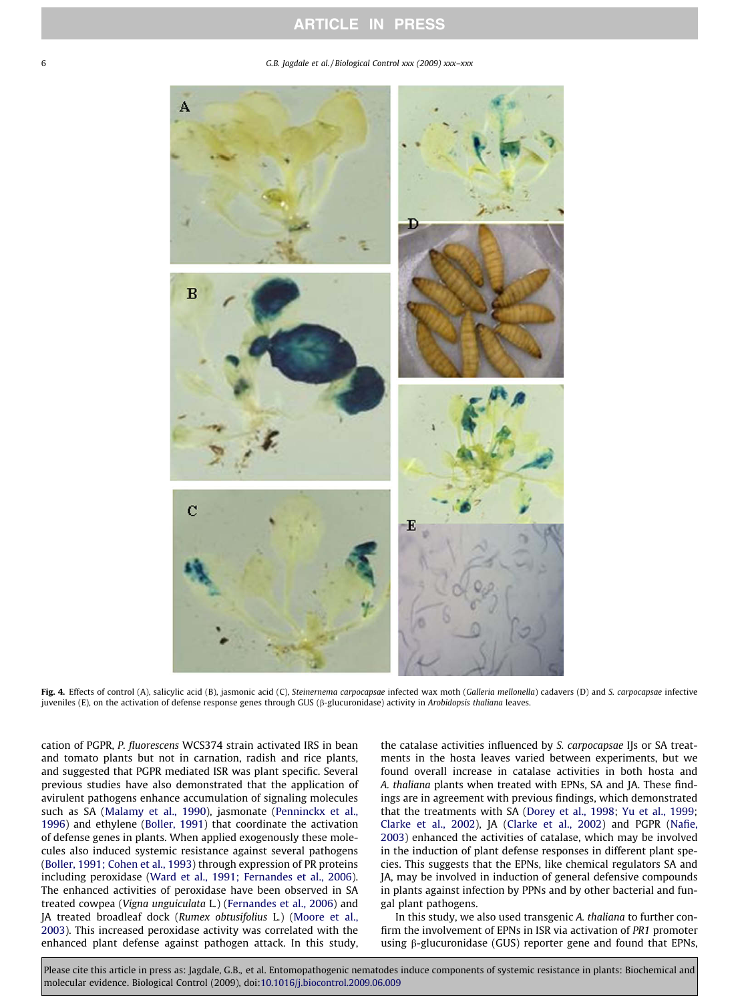<span id="page-5-0"></span>6 G.B. Jagdale et al. / Biological Control xxx (2009) xxx–xxx



Fig. 4. Effects of control (A), salicylic acid (B), jasmonic acid (C), Steinernema carpocapsae infected wax moth (Galleria mellonella) cadavers (D) and S. carpocapsae infective juveniles (E), on the activation of defense response genes through GUS (b-glucuronidase) activity in Arobidopsis thaliana leaves.

cation of PGPR, P. fluorescens WCS374 strain activated IRS in bean and tomato plants but not in carnation, radish and rice plants, and suggested that PGPR mediated ISR was plant specific. Several previous studies have also demonstrated that the application of avirulent pathogens enhance accumulation of signaling molecules such as SA [\(Malamy et al., 1990](#page-6-0)), jasmonate [\(Penninckx et al.,](#page-7-0) [1996\)](#page-7-0) and ethylene [\(Boller, 1991\)](#page-6-0) that coordinate the activation of defense genes in plants. When applied exogenously these molecules also induced systemic resistance against several pathogens ([Boller, 1991; Cohen et al., 1993](#page-6-0)) through expression of PR proteins including peroxidase ([Ward et al., 1991; Fernandes et al., 2006\)](#page-7-0). The enhanced activities of peroxidase have been observed in SA treated cowpea (Vigna unguiculata L.) [\(Fernandes et al., 2006](#page-6-0)) and JA treated broadleaf dock (Rumex obtusifolius L.) ([Moore et al.,](#page-6-0) [2003\)](#page-6-0). This increased peroxidase activity was correlated with the enhanced plant defense against pathogen attack. In this study,

the catalase activities influenced by S. carpocapsae IJs or SA treatments in the hosta leaves varied between experiments, but we found overall increase in catalase activities in both hosta and A. thaliana plants when treated with EPNs, SA and JA. These findings are in agreement with previous findings, which demonstrated that the treatments with SA [\(Dorey et al., 1998;](#page-6-0) [Yu et al., 1999;](#page-7-0) [Clarke et al., 2002\)](#page-6-0), JA ([Clarke et al., 2002\)](#page-6-0) and PGPR [\(Nafie,](#page-6-0) [2003\)](#page-6-0) enhanced the activities of catalase, which may be involved in the induction of plant defense responses in different plant species. This suggests that the EPNs, like chemical regulators SA and JA, may be involved in induction of general defensive compounds in plants against infection by PPNs and by other bacterial and fungal plant pathogens.

In this study, we also used transgenic A. thaliana to further confirm the involvement of EPNs in ISR via activation of PR1 promoter using  $\beta$ -glucuronidase (GUS) reporter gene and found that EPNs,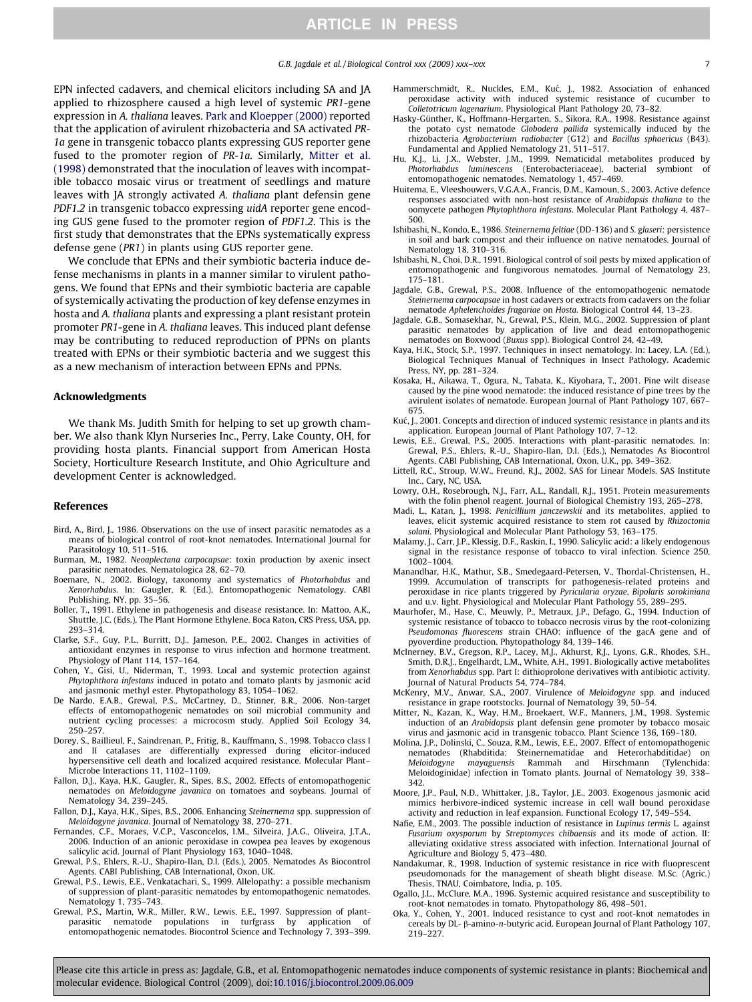G.B. Jagdale et al. / Biological Control xxx (2009) xxx–xxx 7

<span id="page-6-0"></span>EPN infected cadavers, and chemical elicitors including SA and JA applied to rhizosphere caused a high level of systemic PR1-gene expression in A. thaliana leaves. [Park and Kloepper \(2000\)](#page-7-0) reported that the application of avirulent rhizobacteria and SA activated PR-1a gene in transgenic tobacco plants expressing GUS reporter gene fused to the promoter region of PR-1a. Similarly, Mitter et al. (1998) demonstrated that the inoculation of leaves with incompatible tobacco mosaic virus or treatment of seedlings and mature leaves with JA strongly activated A. thaliana plant defensin gene PDF1.2 in transgenic tobacco expressing uidA reporter gene encoding GUS gene fused to the promoter region of PDF1.2. This is the first study that demonstrates that the EPNs systematically express defense gene (PR1) in plants using GUS reporter gene.

We conclude that EPNs and their symbiotic bacteria induce defense mechanisms in plants in a manner similar to virulent pathogens. We found that EPNs and their symbiotic bacteria are capable of systemically activating the production of key defense enzymes in hosta and A. thaliana plants and expressing a plant resistant protein promoter PR1-gene in A. thaliana leaves. This induced plant defense may be contributing to reduced reproduction of PPNs on plants treated with EPNs or their symbiotic bacteria and we suggest this as a new mechanism of interaction between EPNs and PPNs.

#### Acknowledgments

We thank Ms. Judith Smith for helping to set up growth chamber. We also thank Klyn Nurseries Inc., Perry, Lake County, OH, for providing hosta plants. Financial support from American Hosta Society, Horticulture Research Institute, and Ohio Agriculture and development Center is acknowledged.

#### References

- Bird, A., Bird, J., 1986. Observations on the use of insect parasitic nematodes as a means of biological control of root-knot nematodes. International Journal for Parasitology 10, 511–516.
- Burman, M., 1982. Neoaplectana carpocapsae: toxin production by axenic insect parasitic nematodes. Nematologica 28, 62–70.
- Boemare, N., 2002. Biology, taxonomy and systematics of Photorhabdus and Xenorhabdus. In: Gaugler, R. (Ed.), Entomopathogenic Nematology. CABI Publishing, NY, pp. 35–56.
- Boller, T., 1991. Ethylene in pathogenesis and disease resistance. In: Mattoo, A.K., Shuttle, J.C. (Eds.), The Plant Hormone Ethylene. Boca Raton, CRS Press, USA, pp. 293–314.
- Clarke, S.F., Guy, P.L., Burritt, D.J., Jameson, P.E., 2002. Changes in activities of antioxidant enzymes in response to virus infection and hormone treatment. Physiology of Plant 114, 157–164.
- Cohen, Y., Gisi, U., Niderman, T., 1993. Local and systemic protection against Phytophthora infestans induced in potato and tomato plants by jasmonic acid and jasmonic methyl ester. Phytopathology 83, 1054–1062.
- De Nardo, E.A.B., Grewal, P.S., McCartney, D., Stinner, B.R., 2006. Non-target effects of entomopathogenic nematodes on soil microbial community and nutrient cycling processes: a microcosm study. Applied Soil Ecology 34, 250–257.
- Dorey, S., Baillieul, F., Saindrenan, P., Fritig, B., Kauffmann, S., 1998. Tobacco class I and II catalases are differentially expressed during elicitor-induced hypersensitive cell death and localized acquired resistance. Molecular Plant– Microbe Interactions 11, 1102–1109.
- Fallon, D.J., Kaya, H.K., Gaugler, R., Sipes, B.S., 2002. Effects of entomopathogenic nematodes on Meloidogyne javanica on tomatoes and soybeans. Journal of Nematology 34, 239–245.
- Fallon, D.J., Kaya, H.K., Sipes, B.S., 2006. Enhancing Steinernema spp. suppression of Meloidogyne javanica. Journal of Nematology 38, 270–271.
- Fernandes, C.F., Moraes, V.C.P., Vasconcelos, I.M., Silveira, J.A.G., Oliveira, J.T.A., 2006. Induction of an anionic peroxidase in cowpea pea leaves by exogenous salicylic acid. Journal of Plant Physiology 163, 1040–1048.
- Grewal, P.S., Ehlers, R.-U., Shapiro-Ilan, D.I. (Eds.), 2005. Nematodes As Biocontrol Agents. CABI Publishing, CAB International, Oxon, UK.
- Grewal, P.S., Lewis, E.E., Venkatachari, S., 1999. Allelopathy: a possible mechanism of suppression of plant-parasitic nematodes by entomopathogenic nematodes. Nematology 1, 735–743.
- Grewal, P.S., Martin, W.R., Miller, R.W., Lewis, E.E., 1997. Suppression of plantparasitic nematode populations in turfgrass by application of entomopathogenic nematodes. Biocontrol Science and Technology 7, 393-399.
- Hammerschmidt, R., Nuckles, E.M., Kuć, J., 1982. Association of enhanced peroxidase activity with induced systemic resistance of cucumber to Colletotricum lagenarium. Physiological Plant Pathology 20, 73–82.
- Hasky-Günther, K., Hoffmann-Hergarten, S., Sikora, R.A., 1998. Resistance against the potato cyst nematode Globodera pallida systemically induced by the rhizobacteria Agrobacterium radiobacter (G12) and Bacillus sphaericus (B43). Fundamental and Applied Nematology 21, 511–517.
- Hu, K.J., Li, J.X., Webster, J.M., 1999. Nematicidal metabolites produced by Photorhabdus luminescens (Enterobacteriaceae), bacterial symbiont of entomopathogenic nematodes. Nematology 1, 457–469.
- Huitema, E., Vleeshouwers, V.G.A.A., Francis, D.M., Kamoun, S., 2003. Active defence responses associated with non-host resistance of Arabidopsis thaliana to the oomycete pathogen Phytophthora infestans. Molecular Plant Pathology 4, 487– 500.
- Ishibashi, N., Kondo, E., 1986. Steinernema feltiae (DD-136) and S. glaseri: persistence in soil and bark compost and their influence on native nematodes. Journal of Nematology 18, 310–316.
- Ishibashi, N., Choi, D.R., 1991. Biological control of soil pests by mixed application of entomopathogenic and fungivorous nematodes. Journal of Nematology 23, 175–181.
- Jagdale, G.B., Grewal, P.S., 2008. Influence of the entomopathogenic nematode Steinernema carpocapsae in host cadavers or extracts from cadavers on the foliar nematode Aphelenchoides fragariae on Hosta. Biological Control 44, 13–23.
- Jagdale, G.B., Somasekhar, N., Grewal, P.S., Klein, M.G., 2002. Suppression of plant parasitic nematodes by application of live and dead entomopathogenic nematodes on Boxwood (Buxus spp). Biological Control 24, 42–49.
- Kaya, H.K., Stock, S.P., 1997. Techniques in insect nematology. In: Lacey, L.A. (Ed.), Biological Techniques Manual of Techniques in Insect Pathology. Academic Press, NY, pp. 281–324.
- Kosaka, H., Aikawa, T., Ogura, N., Tabata, K., Kiyohara, T., 2001. Pine wilt disease caused by the pine wood nematode: the induced resistance of pine trees by the avirulent isolates of nematode. European Journal of Plant Pathology 107, 667– 675.
- Kuć, J., 2001. Concepts and direction of induced systemic resistance in plants and its application. European Journal of Plant Pathology 107, 7–12.
- Lewis, E.E., Grewal, P.S., 2005. Interactions with plant-parasitic nematodes. In: Grewal, P.S., Ehlers, R.-U., Shapiro-Ilan, D.I. (Eds.), Nematodes As Biocontrol Agents. CABI Publishing, CAB International, Oxon, U.K., pp. 349–362.
- Littell, R.C., Stroup, W.W., Freund, R.J., 2002. SAS for Linear Models. SAS Institute Inc., Cary, NC, USA.
- Lowry, O.H., Rosebrough, N.J., Farr, A.L., Randall, R.J., 1951. Protein measurements with the folin phenol reagent. Journal of Biological Chemistry 193, 265–278.
- Madi, L., Katan, J., 1998. Penicillium janczewskii and its metabolites, applied to leaves, elicit systemic acquired resistance to stem rot caused by Rhizoctonia solani. Physiological and Molecular Plant Pathology 53, 163–175.
- Malamy, J., Carr, J.P., Klessig, D.F., Raskin, I., 1990. Salicylic acid: a likely endogenous signal in the resistance response of tobacco to viral infection. Science 250, 1002–1004.
- Manandhar, H.K., Mathur, S.B., Smedegaard-Petersen, V., Thordal-Christensen, H., 1999. Accumulation of transcripts for pathogenesis-related proteins and peroxidase in rice plants triggered by Pyricularia oryzae, Bipolaris sorokiniana and u.v. light. Physiological and Molecular Plant Pathology 55, 289–295.
- Maurhofer, M., Hase, C., Meuwly, P., Metraux, J.P., Defago, G., 1994. Induction of systemic resistance of tobacco to tobacco necrosis virus by the root-colonizing Pseudomonas fluorescens strain CHAO: influence of the gacA gene and of pyoverdine production. Phytopathology 84, 139–146.
- McInerney, B.V., Gregson, R.P., Lacey, M.J., Akhurst, R.J., Lyons, G.R., Rhodes, S.H., Smith, D.R.J., Engelhardt, L.M., White, A.H., 1991. Biologically active metabolites from Xenorhabdus spp. Part I: dithioprolone derivatives with antibiotic activity. Journal of Natural Products 54, 774–784.
- McKenry, M.V., Anwar, S.A., 2007. Virulence of Meloidogyne spp. and induced resistance in grape rootstocks. Journal of Nematology 39, 50–54.
- Mitter, N., Kazan, K., Way, H.M., Broekaert, W.F., Manners, J.M., 1998. Systemic induction of an Arabidopsis plant defensin gene promoter by tobacco mosaic virus and jasmonic acid in transgenic tobacco. Plant Science 136, 169–180.
- Molina, J.P., Dolinski, C., Souza, R.M., Lewis, E.E., 2007. Effect of entomopathogenic nematodes (Rhabditida: Steinernematidae and Heterorhabditidae) on Meloidogyne mayaguensis Rammah and Hirschmann (Tylenchida: Meloidoginidae) infection in Tomato plants. Journal of Nematology 39, 338– 342.
- Moore, J.P., Paul, N.D., Whittaker, J.B., Taylor, J.E., 2003. Exogenous jasmonic acid mimics herbivore-indiced systemic increase in cell wall bound peroxidase activity and reduction in leaf expansion. Functional Ecology 17, 549–554.
- Nafie, E.M., 2003. The possible induction of resistance in Lupinus termis L. against Fusarium oxysporum by Streptomyces chibaensis and its mode of action. II: alleviating oxidative stress associated with infection. International Journal of Agriculture and Biology 5, 473–480.
- Nandakumar, R., 1998. Induction of systemic resistance in rice with fluoprescent pseudomonads for the management of sheath blight disease. M.Sc. (Agric.) Thesis, TNAU, Coimbatore, India, p. 105.
- Ogallo, J.L., McClure, M.A., 1996. Systemic acquired resistance and susceptibility to root-knot nematodes in tomato. Phytopathology 86, 498–501.
- Oka, Y., Cohen, Y., 2001. Induced resistance to cyst and root-knot nematodes in cereals by DL- β-amino-n-butyric acid. European Journal of Plant Pathology 107, 219–227.